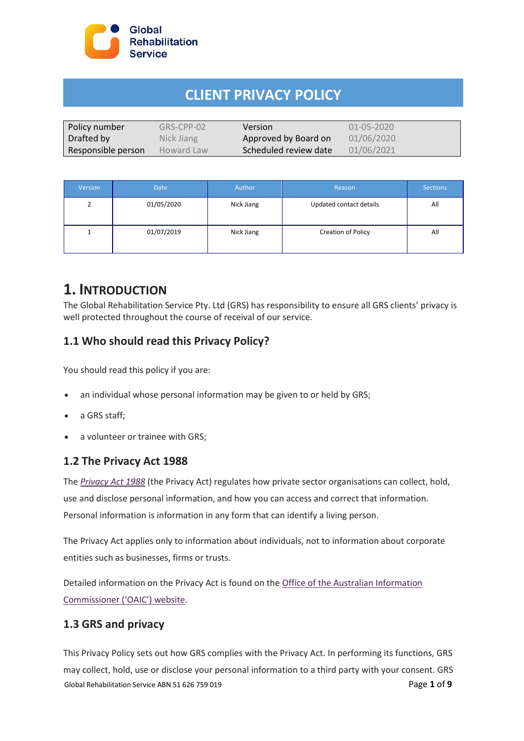

# **CLIENT PRIVACY POLICY**

| Policy number      | GRS-CPP-02 | <b>Version</b>        | 01-05-2020 |
|--------------------|------------|-----------------------|------------|
| Drafted by         | Nick Jiang | Approved by Board on  | 01/06/2020 |
| Responsible person | Howard Law | Scheduled review date | 01/06/2021 |

| Version | <b>Date</b> | Author     | Reason                  | <b>Sections</b> |
|---------|-------------|------------|-------------------------|-----------------|
| 2       | 01/05/2020  | Nick Jiang | Updated contact details | All             |
|         | 01/07/2019  | Nick Jiang | Creation of Policy      | All             |

# **1. INTRODUCTION**

The Global Rehabilitation Service Pty. Ltd (GRS) has responsibility to ensure all GRS clients' privacy is well protected throughout the course of receival of our service.

### **1.1 Who should read this Privacy Policy?**

You should read this policy if you are:

- an individual whose personal information may be given to or held by GRS;
- a GRS staff;
- a volunteer or trainee with GRS;

#### **1.2 The Privacy Act 1988**

The *[Privacy Act 1988](https://www.legislation.gov.au/Series/C2004A03712)* (the Privacy Act) regulates how private sector organisations can collect, hold, use and disclose personal information, and how you can access and correct that information. Personal information is information in any form that can identify a living person.

The Privacy Act applies only to information about individuals, not to information about corporate entities such as businesses, firms or trusts.

Detailed information on the Privacy Act is found on the [Office of the Australian Information](https://www.oaic.gov.au/privacy-law/privacy-act/)  [Commissioner \('OAIC'\) website](https://www.oaic.gov.au/privacy-law/privacy-act/).

#### **1.3 GRS and privacy**

Global Rehabilitation Service ABN 51 626 759 019 **Page 1 of 9** Page 1 of 9 This Privacy Policy sets out how GRS complies with the Privacy Act. In performing its functions, GRS may collect, hold, use or disclose your personal information to a third party with your consent. GRS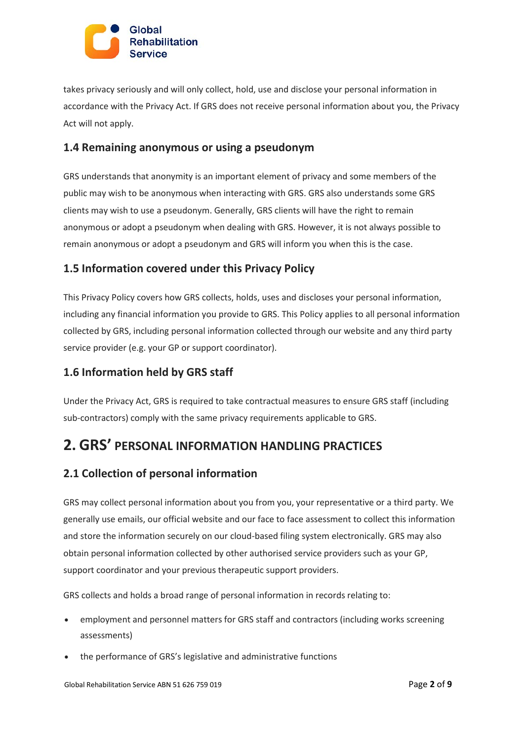

takes privacy seriously and will only collect, hold, use and disclose your personal information in accordance with the Privacy Act. If GRS does not receive personal information about you, the Privacy Act will not apply.

#### **1.4 Remaining anonymous or using a pseudonym**

GRS understands that anonymity is an important element of privacy and some members of the public may wish to be anonymous when interacting with GRS. GRS also understands some GRS clients may wish to use a pseudonym. Generally, GRS clients will have the right to remain anonymous or adopt a pseudonym when dealing with GRS. However, it is not always possible to remain anonymous or adopt a pseudonym and GRS will inform you when this is the case.

#### **1.5 Information covered under this Privacy Policy**

This Privacy Policy covers how GRS collects, holds, uses and discloses your personal information, including any financial information you provide to GRS. This Policy applies to all personal information collected by GRS, including personal information collected through our website and any third party service provider (e.g. your GP or support coordinator).

### **1.6 Information held by GRS staff**

Under the Privacy Act, GRS is required to take contractual measures to ensure GRS staff (including sub-contractors) comply with the same privacy requirements applicable to GRS.

# **2. GRS' PERSONAL INFORMATION HANDLING PRACTICES**

#### **2.1 Collection of personal information**

GRS may collect personal information about you from you, your representative or a third party. We generally use emails, our official website and our face to face assessment to collect this information and store the information securely on our cloud-based filing system electronically. GRS may also obtain personal information collected by other authorised service providers such as your GP, support coordinator and your previous therapeutic support providers.

GRS collects and holds a broad range of personal information in records relating to:

- employment and personnel matters for GRS staff and contractors (including works screening assessments)
- the performance of GRS's legislative and administrative functions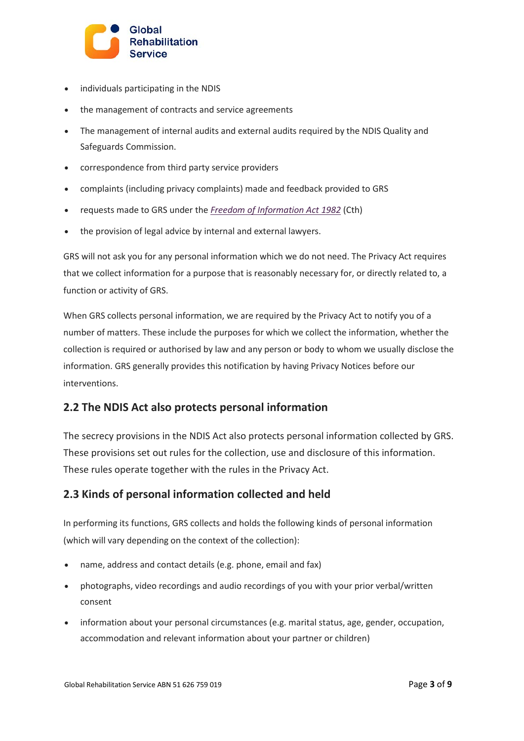

- individuals participating in the NDIS
- the management of contracts and service agreements
- The management of internal audits and external audits required by the NDIS Quality and Safeguards Commission.
- correspondence from third party service providers
- complaints (including privacy complaints) made and feedback provided to GRS
- requests made to GRS under the *[Freedom of Information Act 1982](https://www.legislation.gov.au/Series/C2004A02562)* (Cth)
- the provision of legal advice by internal and external lawyers.

GRS will not ask you for any personal information which we do not need. The Privacy Act requires that we collect information for a purpose that is reasonably necessary for, or directly related to, a function or activity of GRS.

When GRS collects personal information, we are required by the Privacy Act to notify you of a number of matters. These include the purposes for which we collect the information, whether the collection is required or authorised by law and any person or body to whom we usually disclose the information. GRS generally provides this notification by having Privacy Notices before our interventions.

#### **2.2 The NDIS Act also protects personal information**

The secrecy provisions in the NDIS Act also protects personal information collected by GRS. These provisions set out rules for the collection, use and disclosure of this information. These rules operate together with the rules in the Privacy Act.

#### **2.3 Kinds of personal information collected and held**

In performing its functions, GRS collects and holds the following kinds of personal information (which will vary depending on the context of the collection):

- name, address and contact details (e.g. phone, email and fax)
- photographs, video recordings and audio recordings of you with your prior verbal/written consent
- information about your personal circumstances (e.g. marital status, age, gender, occupation, accommodation and relevant information about your partner or children)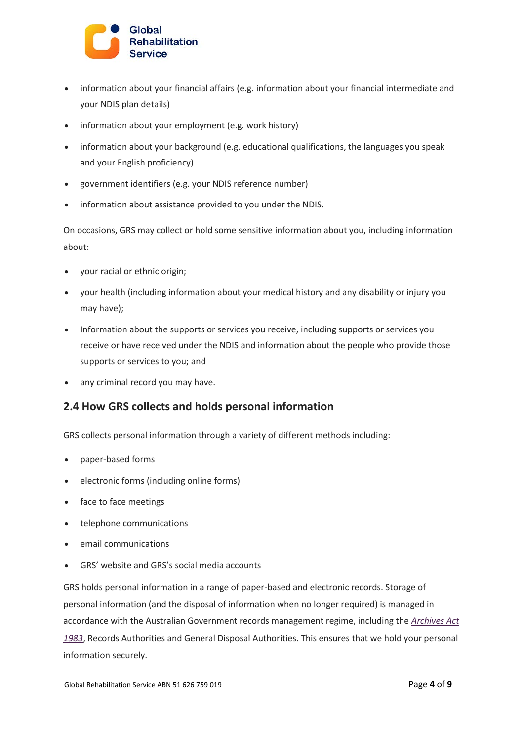

- information about your financial affairs (e.g. information about your financial intermediate and your NDIS plan details)
- information about your employment (e.g. work history)
- information about your background (e.g. educational qualifications, the languages you speak and your English proficiency)
- government identifiers (e.g. your NDIS reference number)
- information about assistance provided to you under the NDIS.

On occasions, GRS may collect or hold some sensitive information about you, including information about:

- your racial or ethnic origin;
- your health (including information about your medical history and any disability or injury you may have);
- Information about the supports or services you receive, including supports or services you receive or have received under the NDIS and information about the people who provide those supports or services to you; and
- any criminal record you may have.

#### **2.4 How GRS collects and holds personal information**

GRS collects personal information through a variety of different methods including:

- paper-based forms
- electronic forms (including online forms)
- face to face meetings
- telephone communications
- email communications
- GRS' website and GRS's social media accounts

GRS holds personal information in a range of paper-based and electronic records. Storage of personal information (and the disposal of information when no longer required) is managed in accordance with the Australian Government records management regime, including the *[Archives Act](https://www.legislation.gov.au/Series/C2004A02796)  [1983](https://www.legislation.gov.au/Series/C2004A02796)*, Records Authorities and General Disposal Authorities. This ensures that we hold your personal information securely.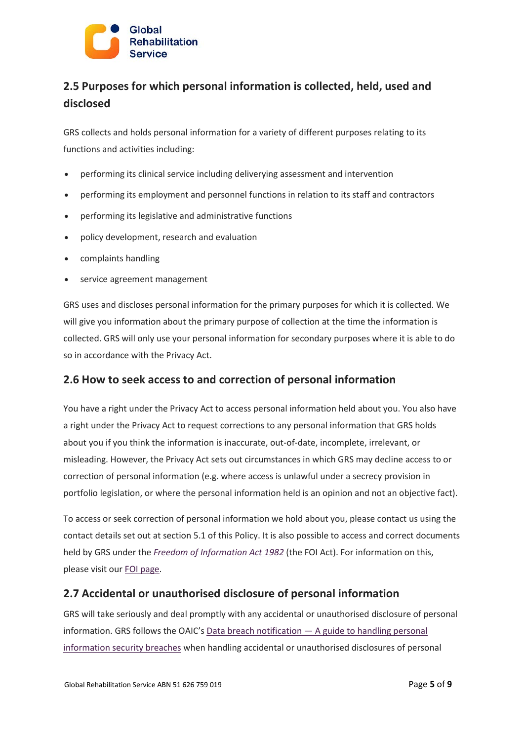

### **2.5 Purposes for which personal information is collected, held, used and disclosed**

GRS collects and holds personal information for a variety of different purposes relating to its functions and activities including:

- performing its clinical service including deliverying assessment and intervention
- performing its employment and personnel functions in relation to its staff and contractors
- performing its legislative and administrative functions
- policy development, research and evaluation
- complaints handling
- service agreement management

GRS uses and discloses personal information for the primary purposes for which it is collected. We will give you information about the primary purpose of collection at the time the information is collected. GRS will only use your personal information for secondary purposes where it is able to do so in accordance with the Privacy Act.

#### **2.6 How to seek access to and correction of personal information**

You have a right under the Privacy Act to access personal information held about you. You also have a right under the Privacy Act to request corrections to any personal information that GRS holds about you if you think the information is inaccurate, out-of-date, incomplete, irrelevant, or misleading. However, the Privacy Act sets out circumstances in which GRS may decline access to or correction of personal information (e.g. where access is unlawful under a secrecy provision in portfolio legislation, or where the personal information held is an opinion and not an objective fact).

To access or seek correction of personal information we hold about you, please contact us using the contact details set out at section 5.1 of this Policy. It is also possible to access and correct documents held by GRS under the *[Freedom of Information Act 1982](https://www.legislation.gov.au/Series/C2004A02562)* (the FOI Act). For information on this, please visit our [FOI page.](https://www.ndiscommission.gov.au/about/freedom-information)

#### **2.7 Accidental or unauthorised disclosure of personal information**

GRS will take seriously and deal promptly with any accidental or unauthorised disclosure of personal information. GRS follows the OAIC's Data breach notification — [A guide to handling personal](https://www.oaic.gov.au/agencies-and-organisations/guides/data-breach-preparation-and-response)  [information security breaches](https://www.oaic.gov.au/agencies-and-organisations/guides/data-breach-preparation-and-response) when handling accidental or unauthorised disclosures of personal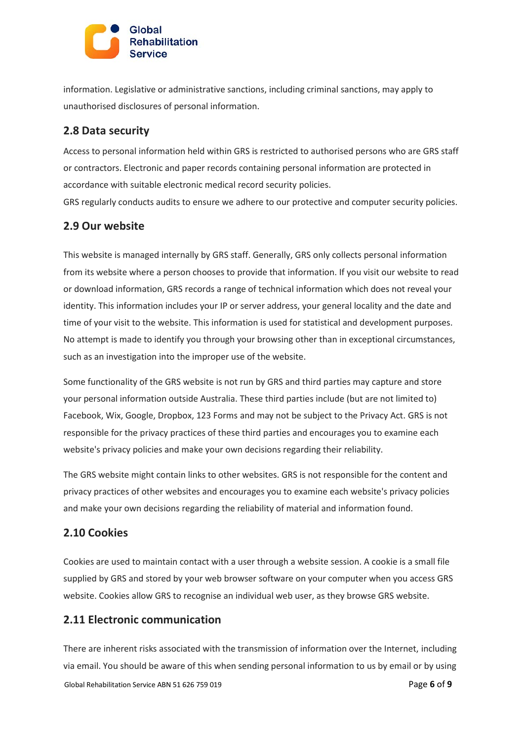

information. Legislative or administrative sanctions, including criminal sanctions, may apply to unauthorised disclosures of personal information.

#### **2.8 Data security**

Access to personal information held within GRS is restricted to authorised persons who are GRS staff or contractors. Electronic and paper records containing personal information are protected in accordance with suitable electronic medical record security policies.

GRS regularly conducts audits to ensure we adhere to our protective and computer security policies.

### **2.9 Our website**

This website is managed internally by GRS staff. Generally, GRS only collects personal information from its website where a person chooses to provide that information. If you visit our website to read or download information, GRS records a range of technical information which does not reveal your identity. This information includes your IP or server address, your general locality and the date and time of your visit to the website. This information is used for statistical and development purposes. No attempt is made to identify you through your browsing other than in exceptional circumstances, such as an investigation into the improper use of the website.

Some functionality of the GRS website is not run by GRS and third parties may capture and store your personal information outside Australia. These third parties include (but are not limited to) Facebook, Wix, Google, Dropbox, 123 Forms and may not be subject to the Privacy Act. GRS is not responsible for the privacy practices of these third parties and encourages you to examine each website's privacy policies and make your own decisions regarding their reliability.

The GRS website might contain links to other websites. GRS is not responsible for the content and privacy practices of other websites and encourages you to examine each website's privacy policies and make your own decisions regarding the reliability of material and information found.

#### **2.10 Cookies**

Cookies are used to maintain contact with a user through a website session. A cookie is a small file supplied by GRS and stored by your web browser software on your computer when you access GRS website. Cookies allow GRS to recognise an individual web user, as they browse GRS website.

#### **2.11 Electronic communication**

Global Rehabilitation Service ABN 51 626 759 019 Page **6** of **9** There are inherent risks associated with the transmission of information over the Internet, including via email. You should be aware of this when sending personal information to us by email or by using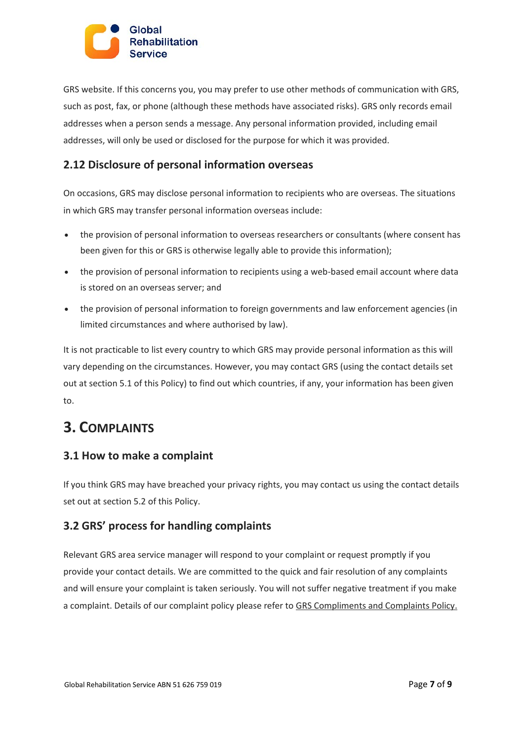

GRS website. If this concerns you, you may prefer to use other methods of communication with GRS, such as post, fax, or phone (although these methods have associated risks). GRS only records email addresses when a person sends a message. Any personal information provided, including email addresses, will only be used or disclosed for the purpose for which it was provided.

#### **2.12 Disclosure of personal information overseas**

On occasions, GRS may disclose personal information to recipients who are overseas. The situations in which GRS may transfer personal information overseas include:

- the provision of personal information to overseas researchers or consultants (where consent has been given for this or GRS is otherwise legally able to provide this information);
- the provision of personal information to recipients using a web-based email account where data is stored on an overseas server; and
- the provision of personal information to foreign governments and law enforcement agencies (in limited circumstances and where authorised by law).

It is not practicable to list every country to which GRS may provide personal information as this will vary depending on the circumstances. However, you may contact GRS (using the contact details set out at section 5.1 of this Policy) to find out which countries, if any, your information has been given to.

# **3. COMPLAINTS**

#### **3.1 How to make a complaint**

If you think GRS may have breached your privacy rights, you may contact us using the contact details set out at section 5.2 of this Policy.

#### **3.2 GRS' process for handling complaints**

Relevant GRS area service manager will respond to your complaint or request promptly if you provide your contact details. We are committed to the quick and fair resolution of any complaints and will ensure your complaint is taken seriously. You will not suffer negative treatment if you make a complaint. Details of our complaint policy please refer to GRS Compliments and Complaints Policy.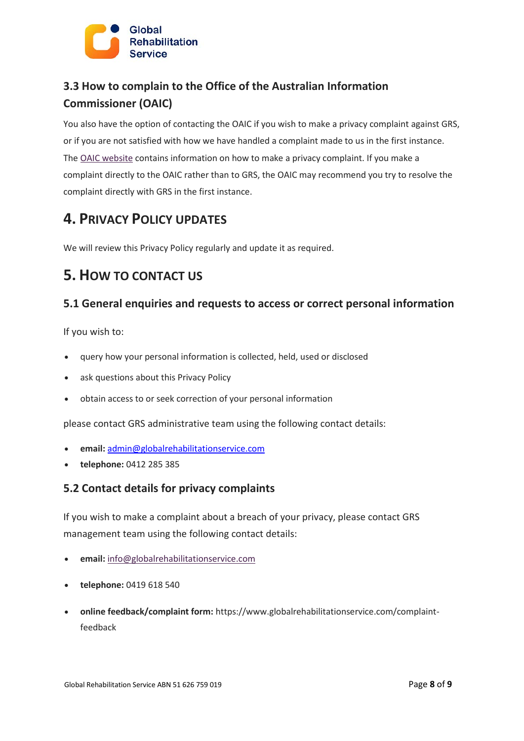

### **3.3 How to complain to the Office of the Australian Information Commissioner (OAIC)**

You also have the option of contacting the OAIC if you wish to make a privacy complaint against GRS, or if you are not satisfied with how we have handled a complaint made to us in the first instance. The [OAIC website](https://www.oaic.gov.au/) contains information on how to make a privacy complaint. If you make a complaint directly to the OAIC rather than to GRS, the OAIC may recommend you try to resolve the complaint directly with GRS in the first instance.

# **4. PRIVACY POLICY UPDATES**

We will review this Privacy Policy regularly and update it as required.

# **5. HOW TO CONTACT US**

### **5.1 General enquiries and requests to access or correct personal information**

If you wish to:

- query how your personal information is collected, held, used or disclosed
- ask questions about this Privacy Policy
- obtain access to or seek correction of your personal information

please contact GRS administrative team using the following contact details:

- **email:** [admin@globalrehabilitationservice.com](mailto:admin@globalrehabilitationservice.com)
- **telephone:** 0412 285 385

#### **5.2 Contact details for privacy complaints**

If you wish to make a complaint about a breach of your privacy, please contact GRS management team using the following contact details:

- **email:** info@globalrehabilitationservice.com
- **telephone:** 0419 618 540
- **online feedback/complaint form:** https://www.globalrehabilitationservice.com/complaintfeedback